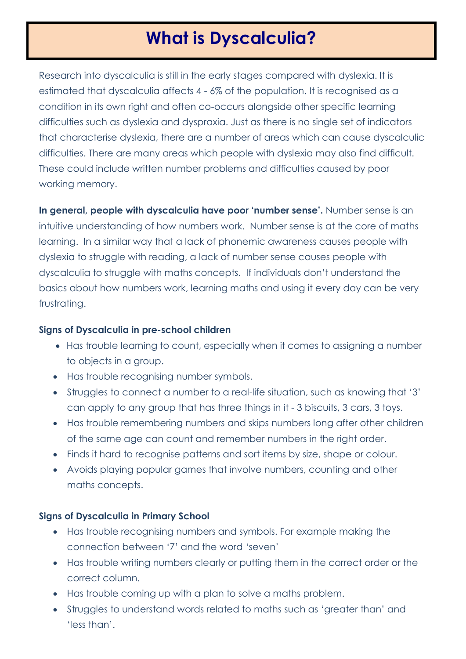# **What is Dyscalculia?**

Research into dyscalculia is still in the early stages compared with dyslexia. It is estimated that dyscalculia affects 4 - 6% of the population. It is recognised as a condition in its own right and often co-occurs alongside other specific learning difficulties such as dyslexia and dyspraxia. Just as there is no single set of indicators that characterise dyslexia, there are a number of areas which can cause dyscalculic difficulties. There are many areas which people with dyslexia may also find difficult. These could include written number problems and difficulties caused by poor working memory.

**In general, people with dyscalculia have poor 'number sense'.** Number sense is an intuitive understanding of how numbers work. Number sense is at the core of maths learning. In a similar way that a lack of phonemic awareness causes people with dyslexia to struggle with reading, a lack of number sense causes people with dyscalculia to struggle with maths concepts. If individuals don't understand the basics about how numbers work, learning maths and using it every day can be very frustrating.

### **Signs of Dyscalculia in pre-school children**

- Has trouble learning to count, especially when it comes to assigning a number to objects in a group.
- Has trouble recognising number symbols.
- Struggles to connect a number to a real-life situation, such as knowing that '3' can apply to any group that has three things in it - 3 biscuits, 3 cars, 3 toys.
- Has trouble remembering numbers and skips numbers long after other children of the same age can count and remember numbers in the right order.
- Finds it hard to recognise patterns and sort items by size, shape or colour.
- Avoids playing popular games that involve numbers, counting and other maths concepts.

## **Signs of Dyscalculia in Primary School**

- Has trouble recognising numbers and symbols. For example making the connection between '7' and the word 'seven'
- Has trouble writing numbers clearly or putting them in the correct order or the correct column.
- Has trouble coming up with a plan to solve a maths problem.
- Struggles to understand words related to maths such as 'greater than' and 'less than'.